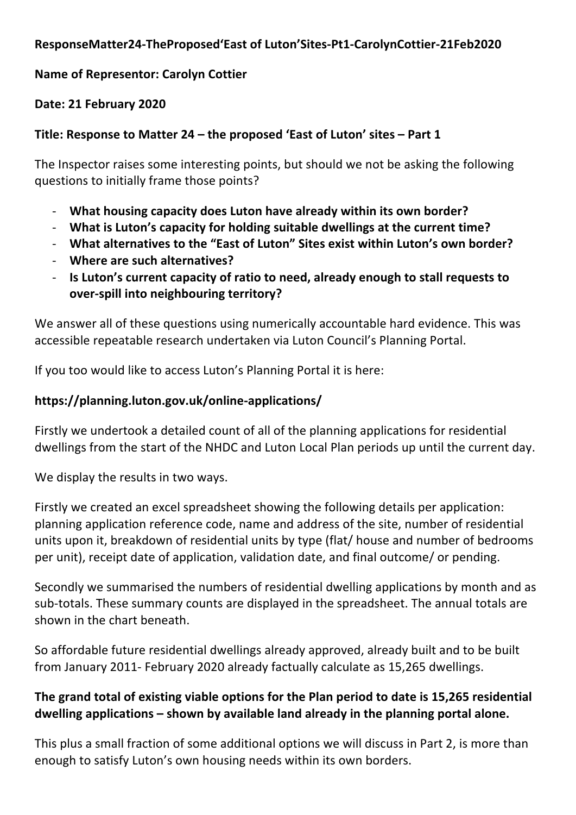### **ResponseMatter24-TheProposed'East of Luton'Sites-Pt1-CarolynCottier-21Feb2020**

### **Name of Representor: Carolyn Cottier**

### **Date: 21 February 2020**

## **Title: Response to Matter 24 – the proposed 'East of Luton' sites – Part 1**

The Inspector raises some interesting points, but should we not be asking the following questions to initially frame those points?

- **What housing capacity does Luton have already within its own border?**
- **What is Luton's capacity for holding suitable dwellings at the current time?**
- **What alternatives to the "East of Luton" Sites exist within Luton's own border?**
- **Where are such alternatives?**
- **Is Luton's current capacity of ratio to need, already enough to stall requests to over-spill into neighbouring territory?**

We answer all of these questions using numerically accountable hard evidence. This was accessible repeatable research undertaken via Luton Council's Planning Portal.

If you too would like to access Luton's Planning Portal it is here:

#### **https://planning.luton.gov.uk/online-applications/**

Firstly we undertook a detailed count of all of the planning applications for residential dwellings from the start of the NHDC and Luton Local Plan periods up until the current day.

We display the results in two ways.

Firstly we created an excel spreadsheet showing the following details per application: planning application reference code, name and address of the site, number of residential units upon it, breakdown of residential units by type (flat/ house and number of bedrooms per unit), receipt date of application, validation date, and final outcome/ or pending.

Secondly we summarised the numbers of residential dwelling applications by month and as sub-totals. These summary counts are displayed in the spreadsheet. The annual totals are shown in the chart beneath.

So affordable future residential dwellings already approved, already built and to be built from January 2011- February 2020 already factually calculate as 15,265 dwellings.

## **The grand total of existing viable options for the Plan period to date is 15,265 residential dwelling applications – shown by available land already in the planning portal alone.**

This plus a small fraction of some additional options we will discuss in Part 2, is more than enough to satisfy Luton's own housing needs within its own borders.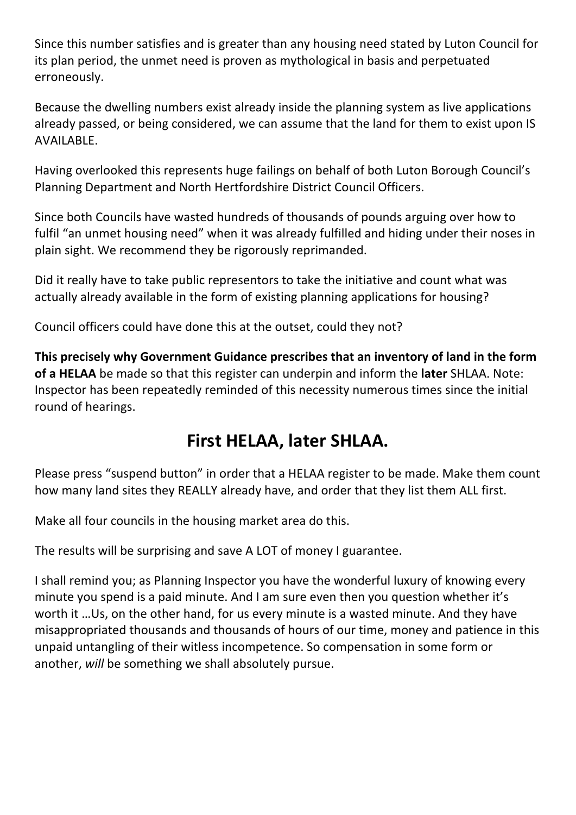Since this number satisfies and is greater than any housing need stated by Luton Council for its plan period, the unmet need is proven as mythological in basis and perpetuated erroneously.

Because the dwelling numbers exist already inside the planning system as live applications already passed, or being considered, we can assume that the land for them to exist upon IS AVAILABLE.

Having overlooked this represents huge failings on behalf of both Luton Borough Council's Planning Department and North Hertfordshire District Council Officers.

Since both Councils have wasted hundreds of thousands of pounds arguing over how to fulfil "an unmet housing need" when it was already fulfilled and hiding under their noses in plain sight. We recommend they be rigorously reprimanded.

Did it really have to take public representors to take the initiative and count what was actually already available in the form of existing planning applications for housing?

Council officers could have done this at the outset, could they not?

**This precisely why Government Guidance prescribes that an inventory of land in the form of a HELAA** be made so that this register can underpin and inform the **later** SHLAA. Note: Inspector has been repeatedly reminded of this necessity numerous times since the initial round of hearings.

# **First HELAA, later SHLAA.**

Please press "suspend button" in order that a HELAA register to be made. Make them count how many land sites they REALLY already have, and order that they list them ALL first.

Make all four councils in the housing market area do this.

The results will be surprising and save A LOT of money I guarantee.

I shall remind you; as Planning Inspector you have the wonderful luxury of knowing every minute you spend is a paid minute. And I am sure even then you question whether it's worth it …Us, on the other hand, for us every minute is a wasted minute. And they have misappropriated thousands and thousands of hours of our time, money and patience in this unpaid untangling of their witless incompetence. So compensation in some form or another, *will* be something we shall absolutely pursue.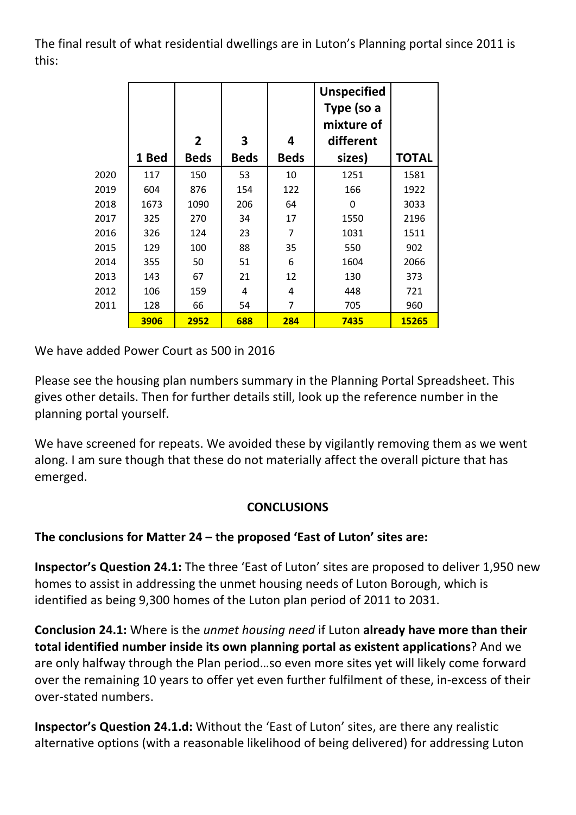The final result of what residential dwellings are in Luton's Planning portal since 2011 is this:

|      |       |                |             |             | <b>Unspecified</b><br>Type (so a<br>mixture of |              |
|------|-------|----------------|-------------|-------------|------------------------------------------------|--------------|
|      |       | $\overline{2}$ | 3           | 4           | different                                      |              |
|      | 1 Bed | <b>Beds</b>    | <b>Beds</b> | <b>Beds</b> | sizes)                                         | <b>TOTAL</b> |
| 2020 | 117   | 150            | 53          | 10          | 1251                                           | 1581         |
| 2019 | 604   | 876            | 154         | 122         | 166                                            | 1922         |
| 2018 | 1673  | 1090           | 206         | 64          | 0                                              | 3033         |
| 2017 | 325   | 270            | 34          | 17          | 1550                                           | 2196         |
| 2016 | 326   | 124            | 23          | 7           | 1031                                           | 1511         |
| 2015 | 129   | 100            | 88          | 35          | 550                                            | 902          |
| 2014 | 355   | 50             | 51          | 6           | 1604                                           | 2066         |
| 2013 | 143   | 67             | 21          | 12          | 130                                            | 373          |
| 2012 | 106   | 159            | 4           | 4           | 448                                            | 721          |
| 2011 | 128   | 66             | 54          | 7           | 705                                            | 960          |
|      | 3906  | 2952           | 688         | 284         | 7435                                           | 15265        |

We have added Power Court as 500 in 2016

Please see the housing plan numbers summary in the Planning Portal Spreadsheet. This gives other details. Then for further details still, look up the reference number in the planning portal yourself.

We have screened for repeats. We avoided these by vigilantly removing them as we went along. I am sure though that these do not materially affect the overall picture that has emerged.

#### **CONCLUSIONS**

### **The conclusions for Matter 24 – the proposed 'East of Luton' sites are:**

**Inspector's Question 24.1:** The three 'East of Luton' sites are proposed to deliver 1,950 new homes to assist in addressing the unmet housing needs of Luton Borough, which is identified as being 9,300 homes of the Luton plan period of 2011 to 2031.

**Conclusion 24.1:** Where is the *unmet housing need* if Luton **already have more than their total identified number inside its own planning portal as existent applications**? And we are only halfway through the Plan period…so even more sites yet will likely come forward over the remaining 10 years to offer yet even further fulfilment of these, in-excess of their over-stated numbers.

**Inspector's Question 24.1.d:** Without the 'East of Luton' sites, are there any realistic alternative options (with a reasonable likelihood of being delivered) for addressing Luton